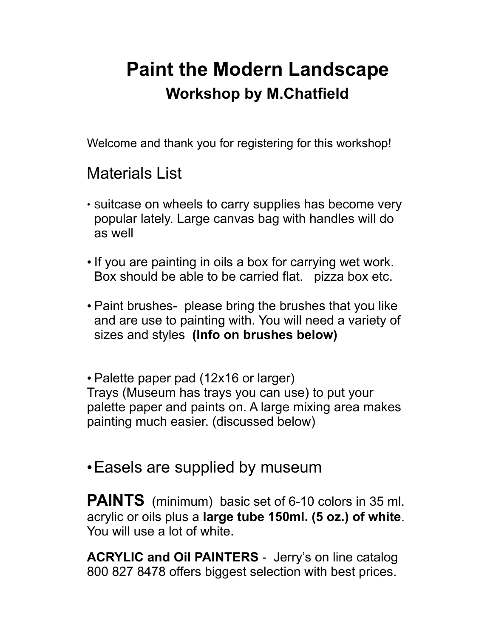# **Paint the Modern Landscape Workshop by M.Chatfield**

Welcome and thank you for registering for this workshop!

### Materials List

- Suitcase on wheels to carry supplies has become very popular lately. Large canvas bag with handles will do as well
- If you are painting in oils a box for carrying wet work. Box should be able to be carried flat. pizza box etc.
- Paint brushes- please bring the brushes that you like and are use to painting with. You will need a variety of sizes and styles **(Info on brushes below)**

• Palette paper pad (12x16 or larger) Trays (Museum has trays you can use) to put your palette paper and paints on. A large mixing area makes painting much easier. (discussed below)

### •Easels are supplied by museum

**PAINTS** (minimum) basic set of 6-10 colors in 35 ml. acrylic or oils plus a **large tube 150ml. (5 oz.) of white**. You will use a lot of white.

**ACRYLIC and Oil PAINTERS** - Jerry's on line catalog 800 827 8478 offers biggest selection with best prices.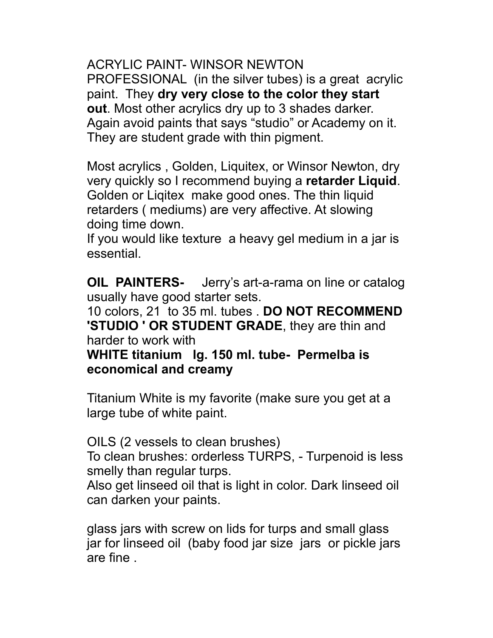ACRYLIC PAINT- WINSOR NEWTON PROFESSIONAL (in the silver tubes) is a great acrylic paint. They **dry very close to the color they start out**. Most other acrylics dry up to 3 shades darker. Again avoid paints that says "studio" or Academy on it. They are student grade with thin pigment.

Most acrylics , Golden, Liquitex, or Winsor Newton, dry very quickly so I recommend buying a **retarder Liquid**. Golden or Liqitex make good ones. The thin liquid retarders ( mediums) are very affective. At slowing doing time down.

If you would like texture a heavy gel medium in a jar is essential.

**OIL PAINTERS-** Jerry's art-a-rama on line or catalog usually have good starter sets.

10 colors, 21 to 35 ml. tubes . **DO NOT RECOMMEND 'STUDIO ' OR STUDENT GRADE**, they are thin and harder to work with

**WHITE titanium lg. 150 ml. tube- Permelba is economical and creamy** 

Titanium White is my favorite (make sure you get at a large tube of white paint.

OILS (2 vessels to clean brushes)

To clean brushes: orderless TURPS, - Turpenoid is less smelly than regular turps.

Also get linseed oil that is light in color. Dark linseed oil can darken your paints.

glass jars with screw on lids for turps and small glass jar for linseed oil (baby food jar size jars or pickle jars are fine .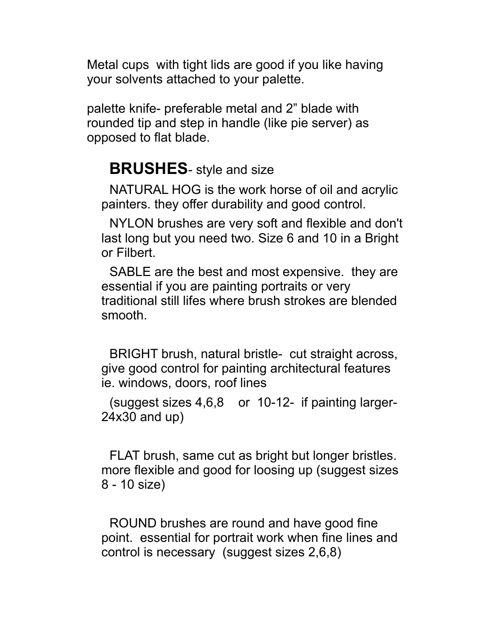Metal cups with tight lids are good if you like having your solvents attached to your palette.

palette knife- preferable metal and 2" blade with rounded tip and step in handle (like pie server) as opposed to flat blade.

### **BRUSHES**- style and size

NATURAL HOG is the work horse of oil and acrylic painters. they offer durability and good control.

NYLON brushes are very soft and flexible and don't last long but you need two. Size 6 and 10 in a Bright or Filbert.

SABLE are the best and most expensive. they are essential if you are painting portraits or very traditional still lifes where brush strokes are blended smooth.

BRIGHT brush, natural bristle- cut straight across, give good control for painting architectural features ie. windows, doors, roof lines

(suggest sizes 4,6,8 or 10-12- if painting larger-24x30 and up)

FLAT brush, same cut as bright but longer bristles. more flexible and good for loosing up (suggest sizes 8 - 10 size)

ROUND brushes are round and have good fine point. essential for portrait work when fine lines and control is necessary (suggest sizes 2,6,8)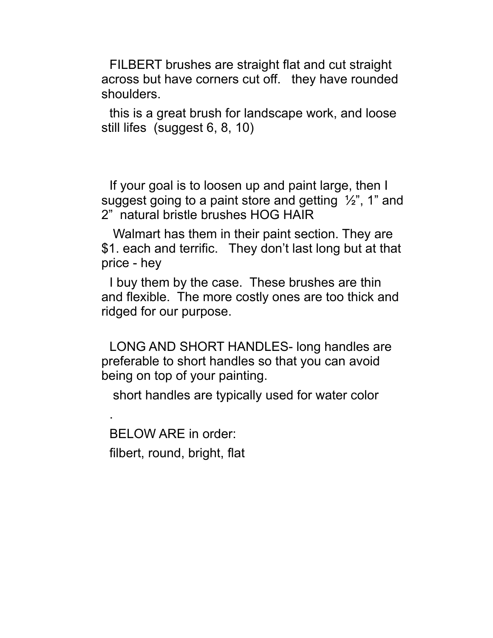FILBERT brushes are straight flat and cut straight across but have corners cut off. they have rounded shoulders.

this is a great brush for landscape work, and loose still lifes (suggest 6, 8, 10)

If your goal is to loosen up and paint large, then I suggest going to a paint store and getting ½", 1" and 2" natural bristle brushes HOG HAIR

 Walmart has them in their paint section. They are \$1. each and terrific. They don't last long but at that price - hey

I buy them by the case. These brushes are thin and flexible. The more costly ones are too thick and ridged for our purpose.

LONG AND SHORT HANDLES- long handles are preferable to short handles so that you can avoid being on top of your painting.

short handles are typically used for water color

BELOW ARE in order: filbert, round, bright, flat

.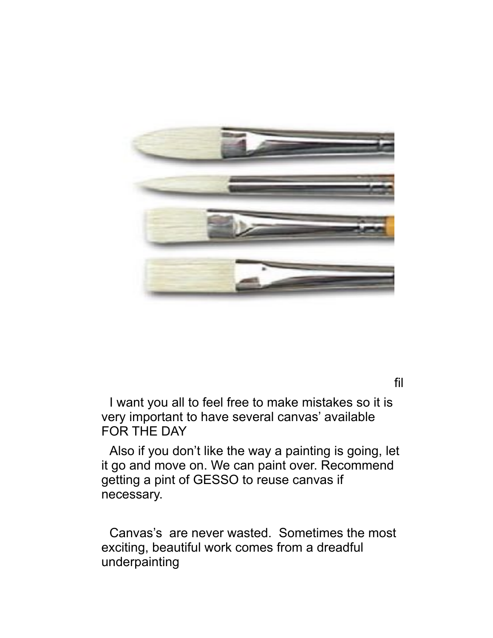

fil

I want you all to feel free to make mistakes so it is very important to have several canvas' available FOR THE DAY

Also if you don't like the way a painting is going, let it go and move on. We can paint over. Recommend getting a pint of GESSO to reuse canvas if necessary.

Canvas's are never wasted. Sometimes the most exciting, beautiful work comes from a dreadful underpainting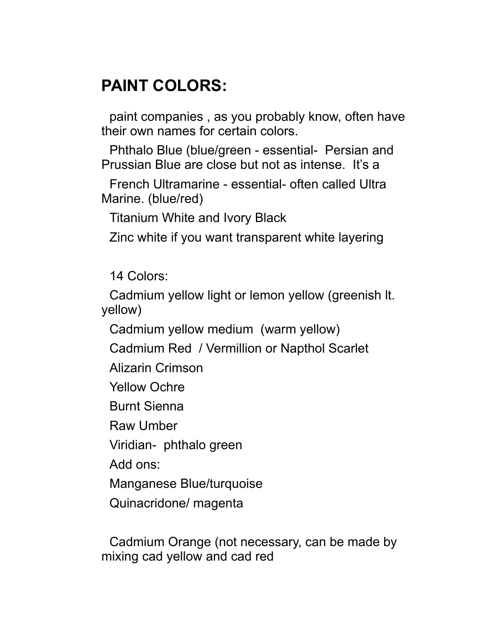## **PAINT COLORS:**

paint companies , as you probably know, often have their own names for certain colors.

Phthalo Blue (blue/green - essential- Persian and Prussian Blue are close but not as intense. It's a

French Ultramarine - essential- often called Ultra Marine. (blue/red)

Titanium White and Ivory Black

Zinc white if you want transparent white layering

14 Colors:

Cadmium yellow light or lemon yellow (greenish lt. yellow)

Cadmium yellow medium (warm yellow)

Cadmium Red / Vermillion or Napthol Scarlet

Alizarin Crimson

Yellow Ochre

Burnt Sienna

Raw Umber

Viridian- phthalo green

Add ons:

Manganese Blue/turquoise

Quinacridone/ magenta

Cadmium Orange (not necessary, can be made by mixing cad yellow and cad red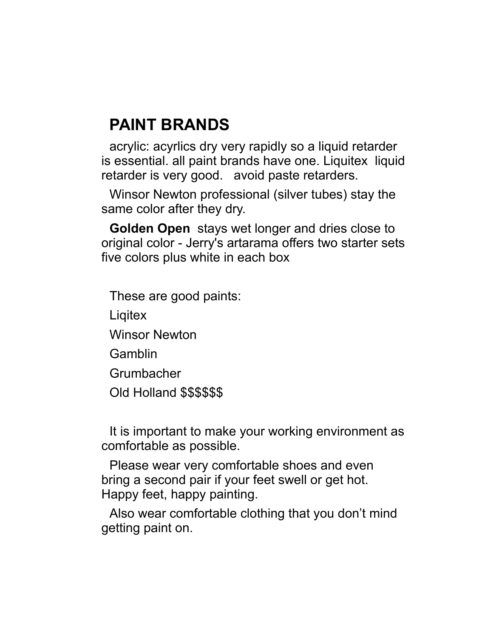## **PAINT BRANDS**

acrylic: acyrlics dry very rapidly so a liquid retarder is essential. all paint brands have one. Liquitex liquid retarder is very good. avoid paste retarders.

Winsor Newton professional (silver tubes) stay the same color after they dry.

**Golden Open** stays wet longer and dries close to original color - Jerry's artarama offers two starter sets five colors plus white in each box

These are good paints: **Ligitex** Winsor Newton Gamblin Grumbacher Old Holland \$\$\$\$\$\$

It is important to make your working environment as comfortable as possible.

Please wear very comfortable shoes and even bring a second pair if your feet swell or get hot. Happy feet, happy painting.

Also wear comfortable clothing that you don't mind getting paint on.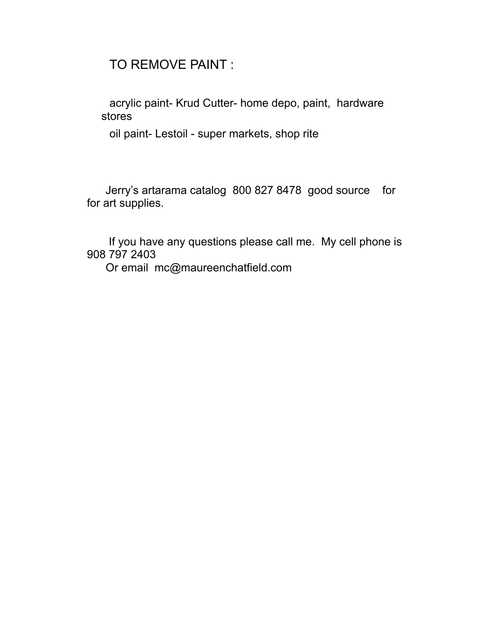### TO REMOVE PAINT :

acrylic paint- Krud Cutter- home depo, paint, hardware stores

oil paint- Lestoil - super markets, shop rite

 Jerry's artarama catalog 800 827 8478 good source for for art supplies.

 If you have any questions please call me. My cell phone is 908 797 2403

Or email mc@maureenchatfield.com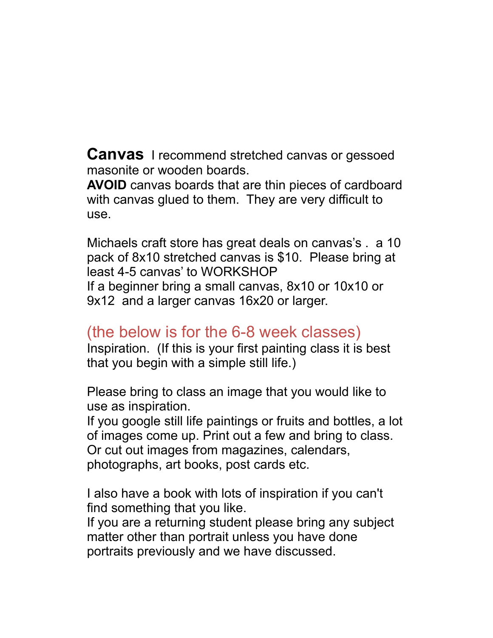**Canvas** I recommend stretched canvas or gessoed masonite or wooden boards.

**AVOID** canvas boards that are thin pieces of cardboard with canvas glued to them. They are very difficult to use.

Michaels craft store has great deals on canvas's . a 10 pack of 8x10 stretched canvas is \$10. Please bring at least 4-5 canvas' to WORKSHOP If a beginner bring a small canvas, 8x10 or 10x10 or 9x12 and a larger canvas 16x20 or larger.

### (the below is for the 6-8 week classes)

Inspiration. (If this is your first painting class it is best that you begin with a simple still life.)

Please bring to class an image that you would like to use as inspiration.

If you google still life paintings or fruits and bottles, a lot of images come up. Print out a few and bring to class. Or cut out images from magazines, calendars, photographs, art books, post cards etc.

I also have a book with lots of inspiration if you can't find something that you like.

If you are a returning student please bring any subject matter other than portrait unless you have done portraits previously and we have discussed.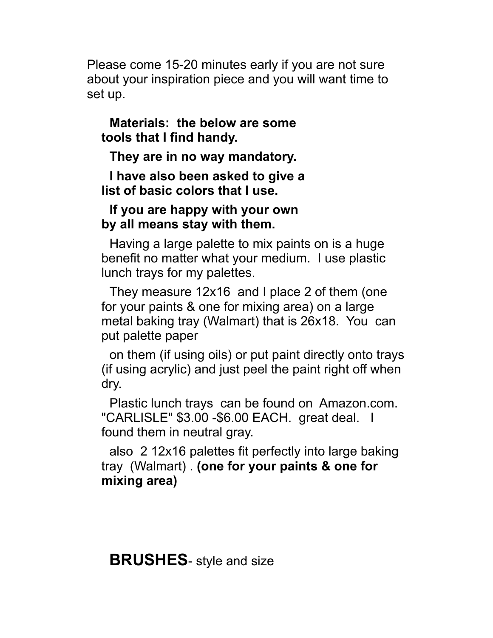Please come 15-20 minutes early if you are not sure about your inspiration piece and you will want time to set up.

### **Materials: the below are some tools that I find handy.**

**They are in no way mandatory.** 

**I have also been asked to give a list of basic colors that I use.** 

### **If you are happy with your own by all means stay with them.**

Having a large palette to mix paints on is a huge benefit no matter what your medium. I use plastic lunch trays for my palettes.

They measure 12x16 and I place 2 of them (one for your paints & one for mixing area) on a large metal baking tray (Walmart) that is 26x18. You can put palette paper

on them (if using oils) or put paint directly onto trays (if using acrylic) and just peel the paint right off when dry.

Plastic lunch trays can be found on Amazon.com. "CARLISLE" \$3.00 -\$6.00 EACH. great deal. I found them in neutral gray.

also 2 12x16 palettes fit perfectly into large baking tray (Walmart) . **(one for your paints & one for mixing area)**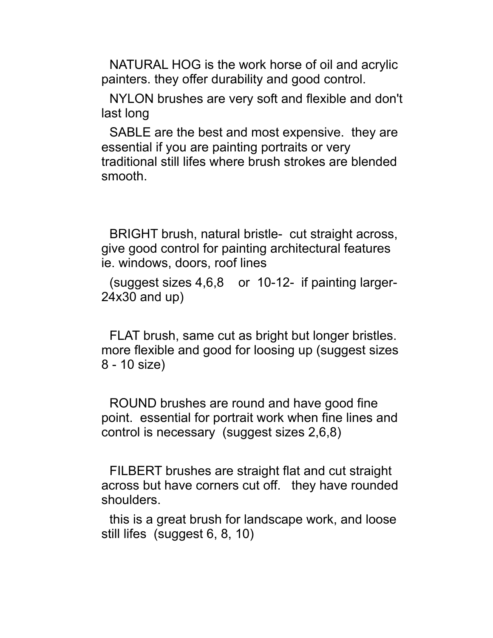NATURAL HOG is the work horse of oil and acrylic painters. they offer durability and good control.

NYLON brushes are very soft and flexible and don't last long

SABLE are the best and most expensive. they are essential if you are painting portraits or very traditional still lifes where brush strokes are blended smooth.

BRIGHT brush, natural bristle- cut straight across, give good control for painting architectural features ie. windows, doors, roof lines

(suggest sizes 4,6,8 or 10-12- if painting larger-24x30 and up)

FLAT brush, same cut as bright but longer bristles. more flexible and good for loosing up (suggest sizes 8 - 10 size)

ROUND brushes are round and have good fine point. essential for portrait work when fine lines and control is necessary (suggest sizes 2,6,8)

FILBERT brushes are straight flat and cut straight across but have corners cut off. they have rounded shoulders.

this is a great brush for landscape work, and loose still lifes (suggest 6, 8, 10)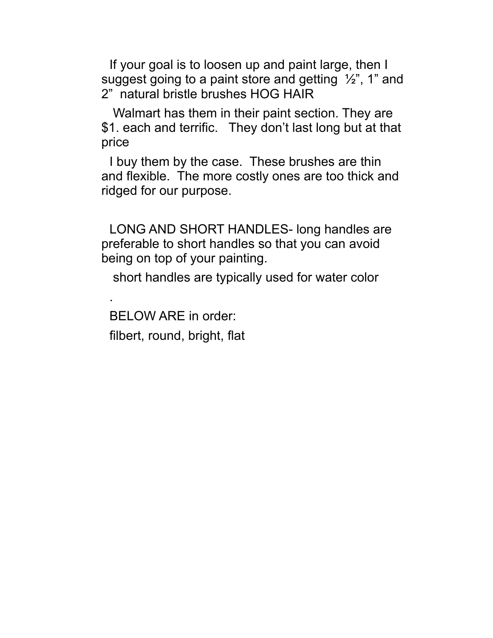If your goal is to loosen up and paint large, then I suggest going to a paint store and getting  $\frac{1}{2}$ , 1" and 2" natural bristle brushes HOG HAIR

 Walmart has them in their paint section. They are \$1. each and terrific. They don't last long but at that price

I buy them by the case. These brushes are thin and flexible. The more costly ones are too thick and ridged for our purpose.

LONG AND SHORT HANDLES- long handles are preferable to short handles so that you can avoid being on top of your painting.

short handles are typically used for water color

BELOW ARE in order: filbert, round, bright, flat

.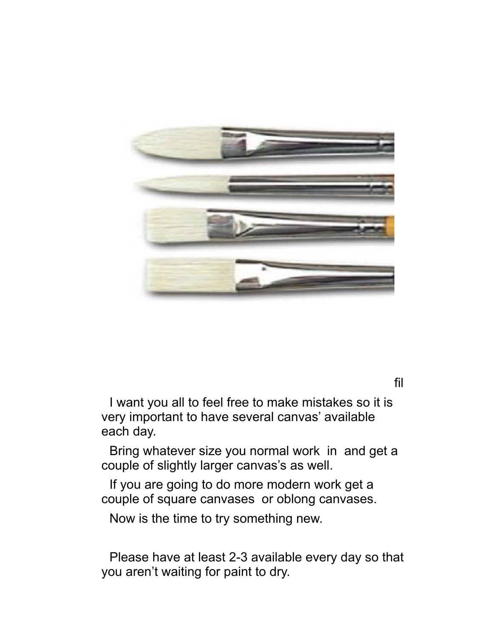

fil

I want you all to feel free to make mistakes so it is very important to have several canvas' available each day.

Bring whatever size you normal work in and get a couple of slightly larger canvas's as well.

If you are going to do more modern work get a couple of square canvases or oblong canvases.

Now is the time to try something new.

Please have at least 2-3 available every day so that you aren't waiting for paint to dry.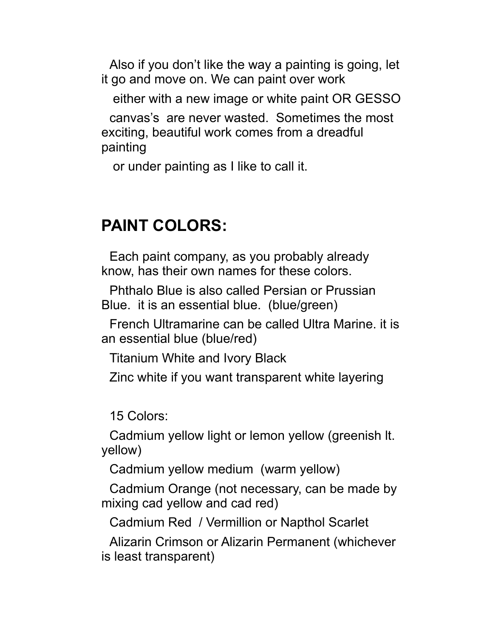Also if you don't like the way a painting is going, let it go and move on. We can paint over work

either with a new image or white paint OR GESSO

canvas's are never wasted. Sometimes the most exciting, beautiful work comes from a dreadful painting

or under painting as I like to call it.

## **PAINT COLORS:**

Each paint company, as you probably already know, has their own names for these colors.

Phthalo Blue is also called Persian or Prussian Blue. it is an essential blue. (blue/green)

French Ultramarine can be called Ultra Marine. it is an essential blue (blue/red)

Titanium White and Ivory Black

Zinc white if you want transparent white layering

15 Colors:

Cadmium yellow light or lemon yellow (greenish lt. yellow)

Cadmium yellow medium (warm yellow)

Cadmium Orange (not necessary, can be made by mixing cad yellow and cad red)

Cadmium Red / Vermillion or Napthol Scarlet

Alizarin Crimson or Alizarin Permanent (whichever is least transparent)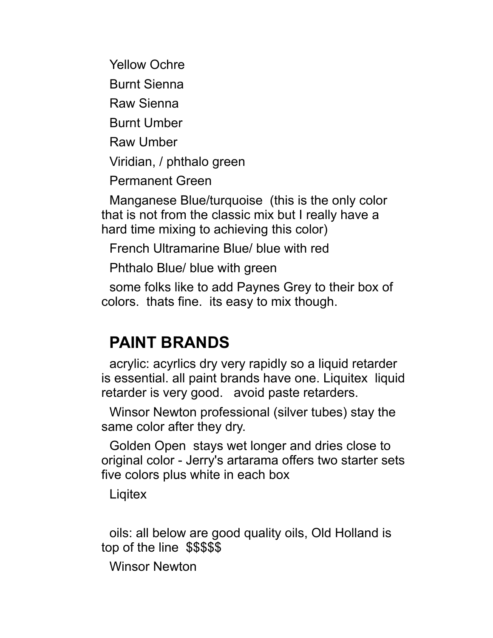Yellow Ochre

Burnt Sienna

Raw Sienna

Burnt Umber

Raw Umber

Viridian, / phthalo green

Permanent Green

Manganese Blue/turquoise (this is the only color that is not from the classic mix but I really have a hard time mixing to achieving this color)

French Ultramarine Blue/ blue with red

Phthalo Blue/ blue with green

some folks like to add Paynes Grey to their box of colors. thats fine. its easy to mix though.

## **PAINT BRANDS**

acrylic: acyrlics dry very rapidly so a liquid retarder is essential. all paint brands have one. Liquitex liquid retarder is very good. avoid paste retarders.

Winsor Newton professional (silver tubes) stay the same color after they dry.

Golden Open stays wet longer and dries close to original color - Jerry's artarama offers two starter sets five colors plus white in each box

**Ligitex** 

oils: all below are good quality oils, Old Holland is top of the line \$\$\$\$\$

Winsor Newton